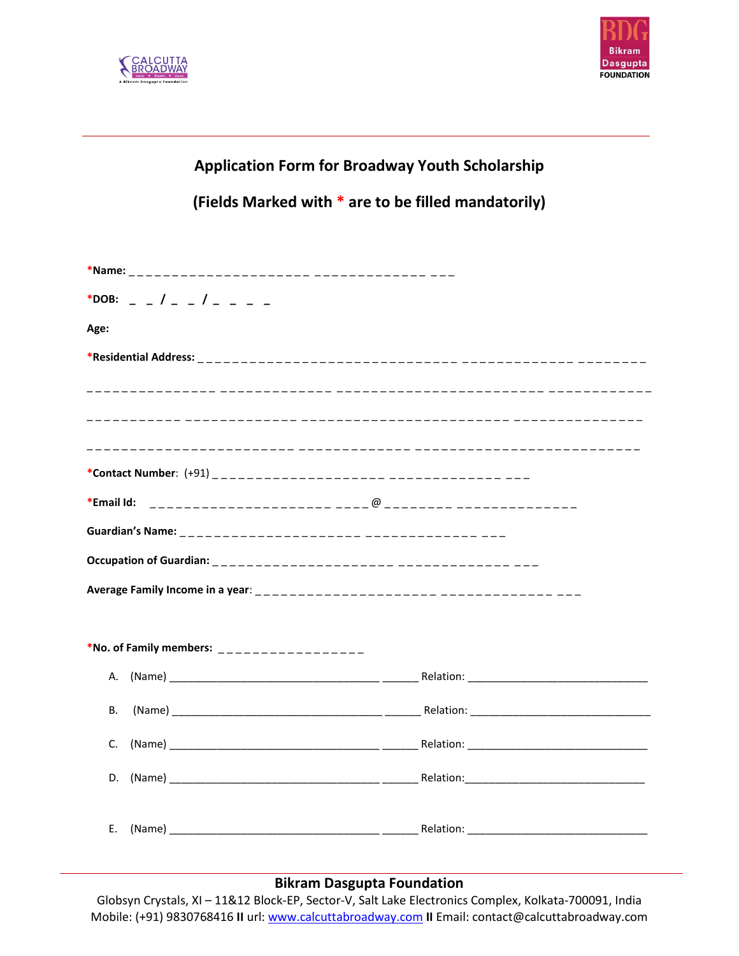



## **Application Form for Broadway Youth Scholarship**

**(Fields Marked with \* are to be filled mandatorily)**

| *DOB: $  /$ $  /$ $  -$                    |  |  |
|--------------------------------------------|--|--|
| Age:                                       |  |  |
|                                            |  |  |
|                                            |  |  |
|                                            |  |  |
|                                            |  |  |
|                                            |  |  |
| *Email Id:                                 |  |  |
|                                            |  |  |
|                                            |  |  |
|                                            |  |  |
|                                            |  |  |
| *No. of Family members: __________________ |  |  |
|                                            |  |  |
| В.                                         |  |  |
| C.                                         |  |  |
| D.                                         |  |  |
| Е.                                         |  |  |

## **Bikram Dasgupta Foundation**

Globsyn Crystals, XI – 11&12 Block-EP, Sector-V, Salt Lake Electronics Complex, Kolkata-700091, India Mobile: (+91) 9830768416 **II** url: www.calcuttabroadway.com **II** Email: contact@calcuttabroadway.com